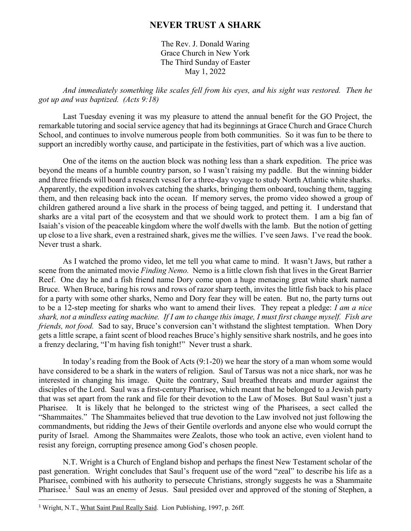## **NEVER TRUST A SHARK**

The Rev. J. Donald Waring Grace Church in New York The Third Sunday of Easter May 1, 2022

*And immediately something like scales fell from his eyes, and his sight was restored. Then he got up and was baptized. (Acts 9:18)* 

Last Tuesday evening it was my pleasure to attend the annual benefit for the GO Project, the remarkable tutoring and social service agency that had its beginnings at Grace Church and Grace Church School, and continues to involve numerous people from both communities. So it was fun to be there to support an incredibly worthy cause, and participate in the festivities, part of which was a live auction.

One of the items on the auction block was nothing less than a shark expedition. The price was beyond the means of a humble country parson, so I wasn't raising my paddle. But the winning bidder and three friends will board a research vessel for a three-day voyage to study North Atlantic white sharks. Apparently, the expedition involves catching the sharks, bringing them onboard, touching them, tagging them, and then releasing back into the ocean. If memory serves, the promo video showed a group of children gathered around a live shark in the process of being tagged, and petting it. I understand that sharks are a vital part of the ecosystem and that we should work to protect them. I am a big fan of Isaiah's vision of the peaceable kingdom where the wolf dwells with the lamb. But the notion of getting up close to a live shark, even a restrained shark, gives me the willies. I've seen Jaws. I've read the book. Never trust a shark.

As I watched the promo video, let me tell you what came to mind. It wasn't Jaws, but rather a scene from the animated movie *Finding Nemo.* Nemo is a little clown fish that lives in the Great Barrier Reef. One day he and a fish friend name Dory come upon a huge menacing great white shark named Bruce. When Bruce, baring his rows and rows of razor sharp teeth, invites the little fish back to his place for a party with some other sharks, Nemo and Dory fear they will be eaten. But no, the party turns out to be a 12-step meeting for sharks who want to amend their lives. They repeat a pledge: *I am a nice shark, not a mindless eating machine. If I am to change this image, I must first change myself. Fish are friends, not food.* Sad to say, Bruce's conversion can't withstand the slightest temptation. When Dory gets a little scrape, a faint scent of blood reaches Bruce's highly sensitive shark nostrils, and he goes into a frenzy declaring, "I'm having fish tonight!" Never trust a shark.

In today's reading from the Book of Acts (9:1-20) we hear the story of a man whom some would have considered to be a shark in the waters of religion. Saul of Tarsus was not a nice shark, nor was he interested in changing his image. Quite the contrary, Saul breathed threats and murder against the disciples of the Lord. Saul was a first-century Pharisee, which meant that he belonged to a Jewish party that was set apart from the rank and file for their devotion to the Law of Moses. But Saul wasn't just a Pharisee. It is likely that he belonged to the strictest wing of the Pharisees, a sect called the "Shammaites." The Shammaites believed that true devotion to the Law involved not just following the commandments, but ridding the Jews of their Gentile overlords and anyone else who would corrupt the purity of Israel. Among the Shammaites were Zealots, those who took an active, even violent hand to resist any foreign, corrupting presence among God's chosen people.

N.T. Wright is a Church of England bishop and perhaps the finest New Testament scholar of the past generation. Wright concludes that Saul's frequent use of the word "zeal" to describe his life as a Pharisee, combined with his authority to persecute Christians, strongly suggests he was a Shammaite Pharisee.<sup>1</sup> Saul was an enemy of Jesus. Saul presided over and approved of the stoning of Stephen, a

 $\overline{a}$ 

<sup>&</sup>lt;sup>1</sup> Wright, N.T., What Saint Paul Really Said. Lion Publishing, 1997, p. 26ff.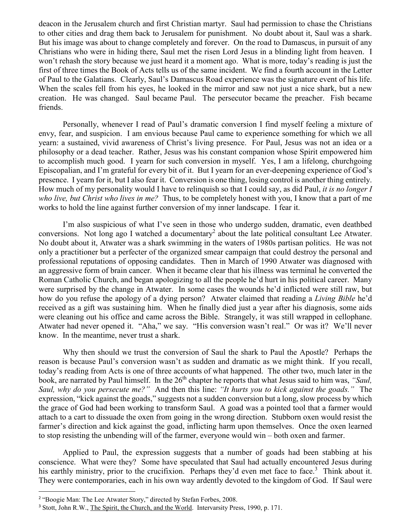deacon in the Jerusalem church and first Christian martyr. Saul had permission to chase the Christians to other cities and drag them back to Jerusalem for punishment. No doubt about it, Saul was a shark. But his image was about to change completely and forever. On the road to Damascus, in pursuit of any Christians who were in hiding there, Saul met the risen Lord Jesus in a blinding light from heaven. I won't rehash the story because we just heard it a moment ago. What is more, today's reading is just the first of three times the Book of Acts tells us of the same incident. We find a fourth account in the Letter of Paul to the Galatians. Clearly, Saul's Damascus Road experience was the signature event of his life. When the scales fell from his eyes, he looked in the mirror and saw not just a nice shark, but a new creation. He was changed. Saul became Paul. The persecutor became the preacher. Fish became friends.

Personally, whenever I read of Paul's dramatic conversion I find myself feeling a mixture of envy, fear, and suspicion. I am envious because Paul came to experience something for which we all yearn: a sustained, vivid awareness of Christ's living presence. For Paul, Jesus was not an idea or a philosophy or a dead teacher. Rather, Jesus was his constant companion whose Spirit empowered him to accomplish much good. I yearn for such conversion in myself. Yes, I am a lifelong, churchgoing Episcopalian, and I'm grateful for every bit of it. But I yearn for an ever-deepening experience of God's presence. I yearn for it, but I also fear it. Conversion is one thing, losing control is another thing entirely. How much of my personality would I have to relinquish so that I could say, as did Paul, *it is no longer I who live, but Christ who lives in me?* Thus, to be completely honest with you, I know that a part of me works to hold the line against further conversion of my inner landscape. I fear it.

I'm also suspicious of what I've seen in those who undergo sudden, dramatic, even deathbed conversions. Not long ago I watched a documentary<sup>2</sup> about the late political consultant Lee Atwater. No doubt about it, Atwater was a shark swimming in the waters of 1980s partisan politics. He was not only a practitioner but a perfecter of the organized smear campaign that could destroy the personal and professional reputations of opposing candidates. Then in March of 1990 Atwater was diagnosed with an aggressive form of brain cancer. When it became clear that his illness was terminal he converted the Roman Catholic Church, and began apologizing to all the people he'd hurt in his political career. Many were surprised by the change in Atwater. In some cases the wounds he'd inflicted were still raw, but how do you refuse the apology of a dying person? Atwater claimed that reading a *Living Bible* he'd received as a gift was sustaining him. When he finally died just a year after his diagnosis, some aids were cleaning out his office and came across the Bible. Strangely, it was still wrapped in cellophane. Atwater had never opened it. "Aha," we say. "His conversion wasn't real." Or was it? We'll never know. In the meantime, never trust a shark.

Why then should we trust the conversion of Saul the shark to Paul the Apostle? Perhaps the reason is because Paul's conversion wasn't as sudden and dramatic as we might think. If you recall, today's reading from Acts is one of three accounts of what happened. The other two, much later in the book, are narrated by Paul himself. In the 26<sup>th</sup> chapter he reports that what Jesus said to him was, *"Saul*, *Saul, why do you persecute me?"* And then this line: *"It hurts you to kick against the goads."* The expression, "kick against the goads," suggests not a sudden conversion but a long, slow process by which the grace of God had been working to transform Saul. A goad was a pointed tool that a farmer would attach to a cart to dissuade the oxen from going in the wrong direction. Stubborn oxen would resist the farmer's direction and kick against the goad, inflicting harm upon themselves. Once the oxen learned to stop resisting the unbending will of the farmer, everyone would win – both oxen and farmer.

Applied to Paul, the expression suggests that a number of goads had been stabbing at his conscience. What were they? Some have speculated that Saul had actually encountered Jesus during his earthly ministry, prior to the crucifixion. Perhaps they'd even met face to face.<sup>3</sup> Think about it. They were contemporaries, each in his own way ardently devoted to the kingdom of God. If Saul were

 $\overline{a}$ 

<sup>&</sup>lt;sup>2</sup> "Boogie Man: The Lee Atwater Story," directed by Stefan Forbes, 2008.

<sup>&</sup>lt;sup>3</sup> Stott, John R.W., The Spirit, the Church, and the World. Intervarsity Press, 1990, p. 171.